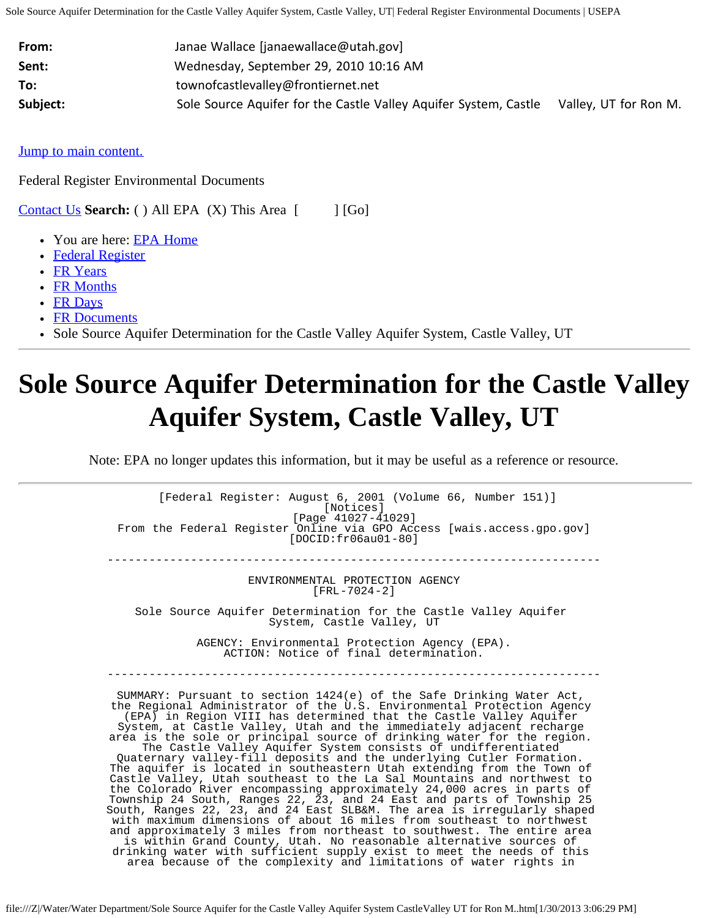| From:    | Janae Wallace [janaewallace@utah.gov]                            |                       |
|----------|------------------------------------------------------------------|-----------------------|
| Sent:    | Wednesday, September 29, 2010 10:16 AM                           |                       |
| To:      | townofcastlevalley@frontiernet.net                               |                       |
| Subject: | Sole Source Aquifer for the Castle Valley Aquifer System, Castle | Valley, UT for Ron M. |

[Jump to main content.](#page-4-0)

Federal Register Environmental Documents

**[Contact Us](http://www.epa.gov/fedrgstr/comments.htm) Search:** ( ) All EPA (X) This Area [ [Go]

- You are here: **EPA Home**
- [Federal Register](http://www.epa.gov/fedrgstr/)
- [FR Years](http://www.epa.gov/EPA-WATER/index.html)
- [FR Months](http://www.epa.gov/EPA-WATER/2001/index.html)
- [FR Days](http://www.epa.gov/EPA-WATER/2001/August/index.html)
- [FR Documents](http://www.epa.gov/EPA-WATER/2001/August/Day-06/index.html)
- Sole Source Aquifer Determination for the Castle Valley Aquifer System, Castle Valley, UT

# **Sole Source Aquifer Determination for the Castle Valley Aquifer System, Castle Valley, UT**

Note: EPA no longer updates this information, but it may be useful as a reference or resource.

[Federal Register: August 6, 2001 (Volume 66, Number 151)] [Notices] [Page 41027-41029] From the Federal Register Online via GPO Access [wais.access.gpo.gov] [DOCID:fr06au01-80] -----------------------------------------------------------------------

> ENVIRONMENTAL PROTECTION AGENCY [FRL-7024-2]

Sole Source Aquifer Determination for the Castle Valley Aquifer System, Castle Valley, UT

> AGENCY: Environmental Protection Agency (EPA). ACTION: Notice of final determination.

-----------------------------------------------------------------------

SUMMARY: Pursuant to section 1424(e) of the Safe Drinking Water Act, the Regional Administrator of the U.S. Environmental Protection Agency (EPA) in Region VIII has determined that the Castle Valley Aquifer System, at Castle Valley, Utah and the immediately adjacent recharge area is the sole or principal source of drinking water for the region. The Castle Valley Aquifer System consists of undifferentiated Quaternary valley-fill deposits and the underlying Cutler Formation. The aquifer is located in southeastern Utah extending from the Town of Castle Valley, Utah southeast to the La Sal Mountains and northwest to the Colorado River encompassing approximately 24,000 acres in parts of Township 24 South, Ranges 22, 23, and 24 East and parts of Township 25 South, Ranges 22, 23, and 24 East SLB&M. The area is irregularly shaped with maximum dimensions of about 16 miles from southeast to northwest and approximately 3 miles from northeast to southwest. The entire area is within Grand County, Utah. No reasonable alternative sources of drinking water with sufficient supply exist to meet the needs of this area because of the complexity and limitations of water rights in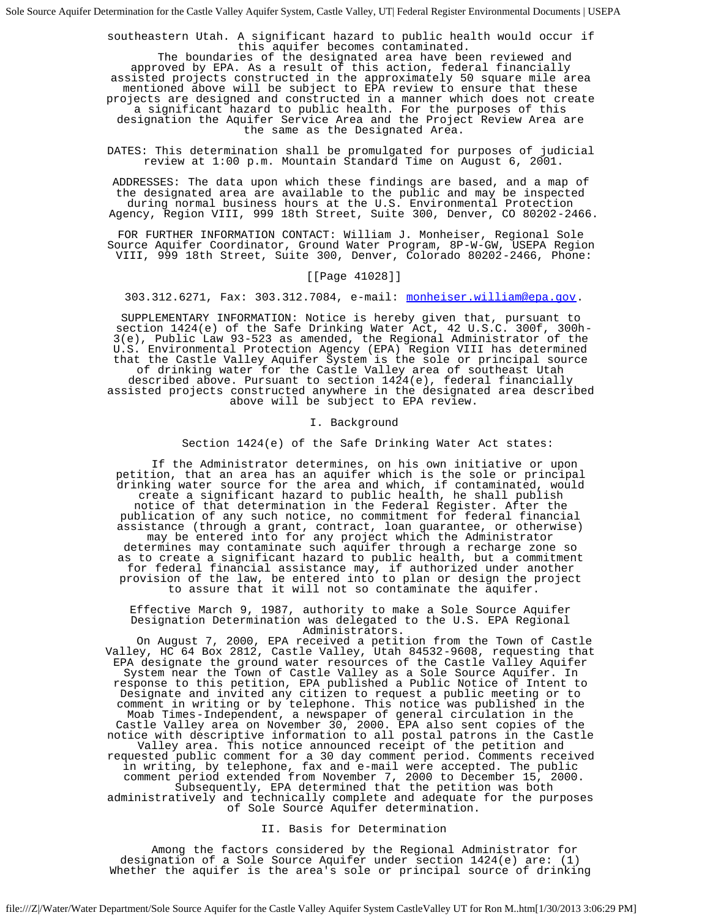southeastern Utah. A significant hazard to public health would occur if

The boundaries of the designated area have been reviewed and approved by EPA. As a result of this action, federal financially assisted projects constructed in the approximately 50 square mile area mentioned above will be subject to EPA review to ensure that these projects are designed and constructed in a manner which does not create a significant hazard to public health. For the purposes of this designation the Aquifer Service Area and the Project Review Area are the same as the Designated Area.

DATES: This determination shall be promulgated for purposes of judicial review at 1:00 p.m. Mountain Standard Time on August 6, 2001.

ADDRESSES: The data upon which these findings are based, and a map of the designated area are available to the public and may be inspected during normal business hours at the U.S. Environmental Protection Agency, Region VIII, 999 18th Street, Suite 300, Denver, CO 80202-2466.

FOR FURTHER INFORMATION CONTACT: William J. Monheiser, Regional Sole Source Aquifer Coordinator, Ground Water Program, 8P-W-GW, USEPA Region VIII, 999 18th Street, Suite 300, Denver, Colorado 80202-2466, Phone:

## [[Page 41028]]

303.312.6271, Fax: 303.312.7084, e-mail: [monheiser.william@epa.gov.](mailto:monheiser.william@epa.gov)

SUPPLEMENTARY INFORMATION: Notice is hereby given that, pursuant to section 1424(e) of the Safe Drinking Water Act, 42 U.S.C. 300f, 300h-3(e), Public Law 93-523 as amended, the Regional Administrator of the U.S. Environmental Protection Agency (EPA) Region VIII has determined that the Castle Valley Aquifer System is the sole or principal source of drinking water for the Castle Valley area of southeast Utah described above. Pursuant to section 1424(e), federal financially

assisted projects constructed anywhere in the designated area described above will be subject to EPA review.

I. Background

#### Section 1424(e) of the Safe Drinking Water Act states:

 If the Administrator determines, on his own initiative or upon petition, that an area has an aquifer which is the sole or principal drinking water source for the area and which, if contaminated, would create a significant hazard to public health, he shall publish notice of that determination in the Federal Register. After the publication of any such notice, no commitment for federal financial assistance (through a grant, contract, loan guarantee, or otherwise) may be entered into for any project which the Administrator determines may contaminate such aquifer through a recharge zone so as to create a significant hazard to public health, but a commitment for federal financial assistance may, if authorized under another provision of the law, be entered into to plan or design the project to assure that it will not so contaminate the aquifer.

Effective March 9, 1987, authority to make a Sole Source Aquifer Designation Determination was delegated to the U.S. EPA Regional<br>Administrators.

On August 7, 2000, EPA received a petition from the Town of Castle Valley, HC 64 Box 2812, Castle Valley, Utah 84532-9608, requesting that EPA designate the ground water resources of the Castle Valley Aquifer System near the Town of Castle Valley as a Sole Source Aquifer. In response to this petition, EPA published a Public Notice of Intent to Designate and invited any citizen to request a public meeting or to comment in writing or by telephone. This notice was published in the Moab Times-Independent, a newspaper of general circulation in the Castle Valley area on November 30, 2000. EPA also sent copies of the notice with descriptive information to all postal patrons in the Castle Valley area. This notice announced receipt of the petition and requested public comment for a 30 day comment period. Comments received in writing, by telephone, fax and e-mail were accepted. The public comment period extended from November 7, 2000 to December 15, 2000. Subsequently, EPA determined that the petition was both administratively and technically complete and adequate for the purposes of Sole Source Aquifer determination.

#### II. Basis for Determination

 Among the factors considered by the Regional Administrator for designation of a Sole Source Aquifer under section 1424(e) are: (1) Whether the aquifer is the area's sole or principal source of drinking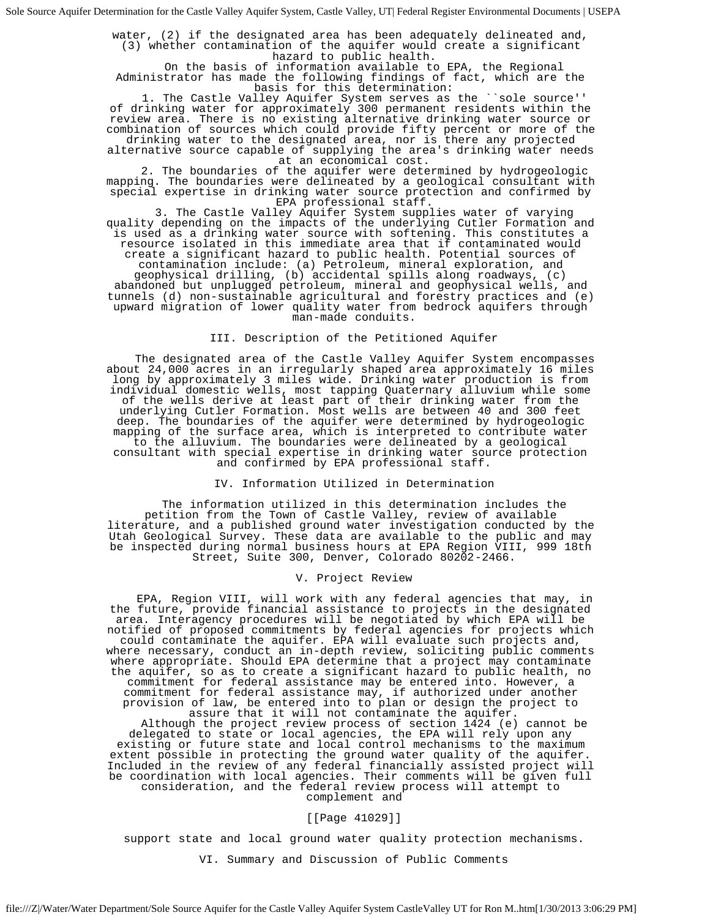water, (2) if the designated area has been adequately delineated and, (3) whether contamination of the aquifer would create a significant hazard to public health. On the basis of information available to EPA, the Regional

Administrator has made the following findings of fact, which are the basis for this determination:

1. The Castle Valley Aquifer System serves as the ``sole source' of drinking water for approximately 300 permanent residents within the review area. There is no existing alternative drinking water source or combination of sources which could provide fifty percent or more of the

drinking water to the designated area, nor is there any projected alternative source capable of supplying the area's drinking water needs

at an economical cost.<br>2. The boundaries of the aquifer were determined by hydrogeologic mapping. The boundaries were delineated by a geological consultant with special expertise in drinking water source protection and confirmed by

EPA professional staff. 3. The Castle Valley Aquifer System supplies water of varying quality depending on the impacts of the underlying Cutler Formation and is used as a drinking water source with softening. This constitutes a resource isolated in this immediate area that if contaminated would create a significant hazard to public health. Potential sources of contamination include: (a) Petroleum, mineral exploration, and geophysical drilling, (b) accidental spills along roadways, (c) abandoned but unplugged petroleum, mineral and geophysical wells, and tunnels (d) non-sustainable agricultural and forestry practices and (e) upward migration of lower quality water from bedrock aquifers through man-made conduits.

## III. Description of the Petitioned Aquifer

 The designated area of the Castle Valley Aquifer System encompasses about 24,000 acres in an irregularly shaped area approximately 16 miles long by approximately 3 miles wide. Drinking water production is from individual domestic wells, most tapping Quaternary alluvium while some of the wells derive at least part of their drinking water from the underlying Cutler Formation. Most wells are between 40 and 300 feet deep. The boundaries of the aquifer were determined by hydrogeologic mapping of the surface area, which is interpreted to contribute water to the alluvium. The boundaries were delineated by a geological consultant with special expertise in drinking water source protection and confirmed by EPA professional staff.

### IV. Information Utilized in Determination

 The information utilized in this determination includes the petition from the Town of Castle Valley, review of available literature, and a published ground water investigation conducted by the Utah Geological Survey. These data are available to the public and may be inspected during normal business hours at EPA Region VIII, 999 18th Street, Suite 300, Denver, Colorado 80202-2466.

#### V. Project Review

 EPA, Region VIII, will work with any federal agencies that may, in the future, provide financial assistance to projects in the designated area. Interagency procedures will be negotiated by which EPA will be notified of proposed commitments by federal agencies for projects which could contaminate the aquifer. EPA will evaluate such projects and, where necessary, conduct an in-depth review, soliciting public comments where appropriate. Should EPA determine that a project may contaminate the aquifer, so as to create a significant hazard to public health, no commitment for federal assistance may be entered into. However, a commitment for federal assistance may, if authorized under another provision of law, be entered into to plan or design the project to assure that it will not contaminate the aquifer. Although the project review process of section 1424 (e) cannot be delegated to state or local agencies, the EPA will rely upon any

existing or future state and local control mechanisms to the maximum extent possible in protecting the ground water quality of the aquifer. Included in the review of any federal financially assisted project will be coordination with local agencies. Their comments will be given full consideration, and the federal review process will attempt to complement and

#### [[Page 41029]]

support state and local ground water quality protection mechanisms.

#### VI. Summary and Discussion of Public Comments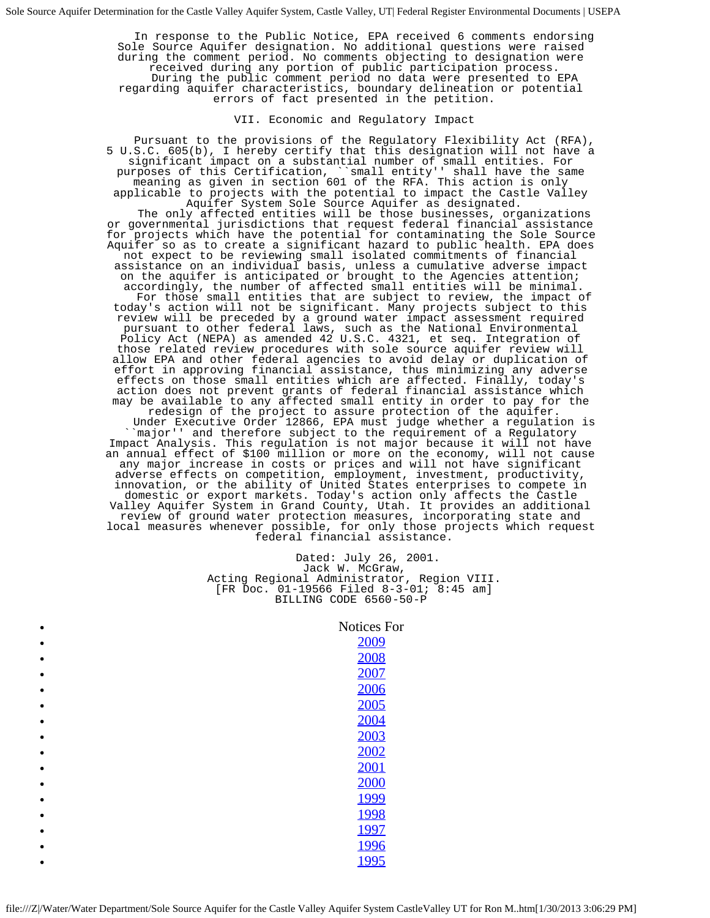In response to the Public Notice, EPA received 6 comments endorsing Sole Source Aquifer designation. No additional questions were raised during the comment period. No comments objecting to designation were<br>received during any portion of public participation process. During the public comment period no data were presented to EPA regarding aquifer characteristics, boundary delineation or potential errors of fact presented in the petition.

# VII. Economic and Regulatory Impact

 Pursuant to the provisions of the Regulatory Flexibility Act (RFA), 5 U.S.C. 605(b), I hereby certify that this designation will not have a significant impact on a substantial number of small entities. For purposes of this Certification, ``small entity'' shall have the same meaning as given in section 601 of the RFA. This action is only applicable to projects with the potential to impact the Castle Valley<br>Aquifer System Sole Source Aquifer as designated. The only affected entities will be those businesses, organizations or governmental jurisdictions that request federal financial assistance for projects which have the potential for contaminating the Sole Source Aquifer so as to create a significant hazard to public health. EPA does not expect to be reviewing small isolated commitments of financial assistance on an individual basis, unless a cumulative adverse impact on the aquifer is anticipated or brought to the Agencies attention;<br>accordingly, the number of affected small entities will be minimal. For those small entities that are subject to review, the impact of today's action will not be significant. Many projects subject to this review will be preceded by a ground water impact assessment required pursuant to other federal laws, such as the National Environmental Policy Act (NEPA) as amended 42 U.S.C. 4321, et seq. Integration of those related review procedures with sole source aquifer review will allow EPA and other federal agencies to avoid delay or duplication of effort in approving financial assistance, thus minimizing any adverse effects on those small entities which are affected. Finally, today's action does not prevent grants of federal financial assistance which may be available to any affected small entity in order to pay for the redesign of the project to assure protection of the aquifer. redesign of the project to assure protection of the aquifer. Under Executive Order 12866, EPA must judge whether a regulation is ``major'' and therefore subject to the requirement of a Regulatory Impact Analysis. This regulation is not major because it will not have an annual effect of \$100 million or more on the economy, will not cause any major increase in costs or prices and will not have significant adverse effects on competition, employment, investment, productivity, innovation, or the ability of United States enterprises to compete in domestic or export markets. Today's action only affects the Castle Valley Aquifer System in Grand County, Utah. It provides an additional review of ground water protection measures, incorporating state and local measures whenever possible, for only those projects which request federal financial assistance.

> Dated: July 26, 2001. Jack W. McGraw, Acting Regional Administrator, Region VIII. [FR Doc. 01-19566 Filed 8-3-01; 8:45 am] BILLING CODE 6560-50-P

#### Notices For

| 2009 |
|------|
| 2008 |
| 2007 |
| 2006 |
| 2005 |
| 2004 |
| 2003 |
| 2002 |
| 2001 |
| 2000 |
| 1999 |
| 1998 |
| 1997 |
| 1996 |
| 1995 |
|      |